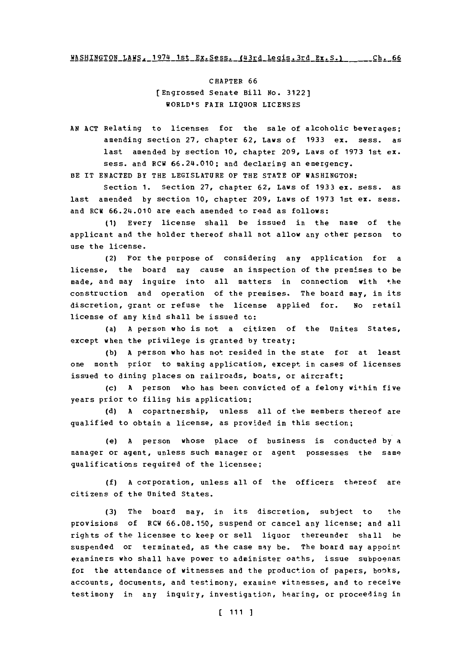CHAPTER **66** [Engrossed Senate Bill No. **3122)** WORLD'S FAIR LIQUOR **LICENSES**

**AN ACT** Relating to licenses for the sale of alcoholic beverages; amending section **27,** chapter **62,** Laws **of 1933** ex. sess. as last amended **by** section **10,** chapter **209,** Laws of **1973** 1st **ex.** sess. and RCW 66.24.010; and declaring an emergency.

BE IT **ENACTED** BY THE LEGISLATURE OF THE **STATE** OF **WASHINGTON:**

Section **1.** Section **27,** chapter **62,** Laws of **1933** ex. sess. as last amended **by** section **10,** chapter **209,** Laws of **1973** 1st ex. sess. and RCW 66.24.010 are each amended to read as follows:

**(1)** Every license shall be issued in the name of the applicant and the holder thereof shall not allow any other person to use the license.

(2) For the purpose of considering any application for a license, the board may cause an inspection of the premises to be made, and may inquire into all matters in connection with the construction and operation of the premises. The board may, in its discretion, grant or refuse the license applied for. No retail license of any kind shall be issued to:

(a) **A** person who is not a citizen of the Unites States, except when the privilege is granted **by** treaty;

**(b) A** person who has not resided in the state for at least one month prior to making application, except in cases of licenses issued to dining places on railroads, boats, or aircraft;

(c) **A** person who has been convicted of a felony within five years prior to filing his application;

**(d) A** copartnership, unless all of the members thereof are qualified to obtain a license, as provided in this section;

(e) **A** person whose place of business is conducted **by** a manager or agent, unless such manager or agent possesses the same qualifications required of the licensee;

**(f) A** corporation, unless all of the officers thereof are citizens of the United States.

**(3)** The board may, in its discretion, subject to the provisions of RCH **66.08.150,** suspend or cancel any license; and all rights of the licensee to keep or sell liquor thereunder shall he suspended or terminated, as the case may be. The board may appoint examiners who shall have power to administer oaths, issue subpoenas for the attendance of witnesses and the production of papers, books, accounts, documents, and testimony, examine witnesses, and to receive testimony in any inquiry, investigation, hearing, or proceeding in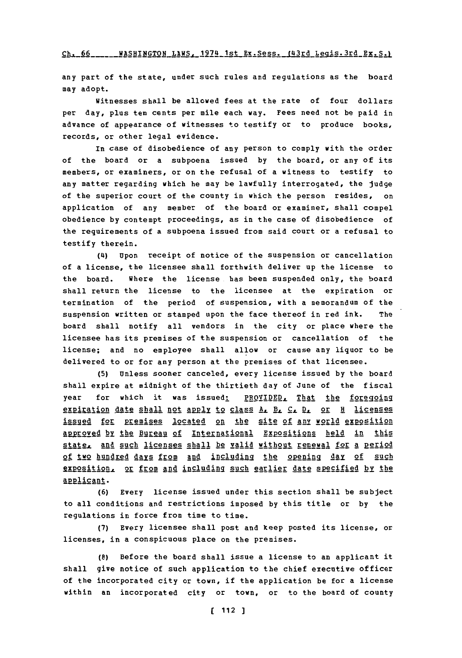# **Ch. 66 \_\_\_\_\_WASHINGTON LAWS, 1974 1st Ex. Sess. (43rd Legis.3rd Ex. S.)**

any part of the state, under such rules and regulations as the board may adopt.

Witnesses shall be allowed fees at the rate of four dollars per day, plus ten cents per mile each way. Fees need not be paid in advance of appearance of witnesses to testify or to produce books, records, or other legal evidence.

In case of disobedience of any person to comply with the order of the board or a subpoena issued **by** the board, or any of its members, or examiners, or on the refusal of a witness to testify to any matter regarding which he may be lawfully interrogated, the judge of the superior court of the county in which the person resides, on application of any member of the board or examiner, shall compel obedience **by** contempt proceedings, as in the case of disobedience of the requirements of a subpoena issued from said court or a refusal to testify therein.

(4) Upon receipt of notice of the suspension or cancellation of a license, the licensee shall forthwith deliver up the license to the board. Where the license has been suspended only, the board shall return the license to the licensee at the expiration or termination of the period of suspension, with a memorandum of the suspension written or stamped upon the face thereof in red ink. The board shall notify all vendors in the city or place where the licensee has its premises of the suspension or cancellation of the license; and no employee shall allow or cause any liquor to be delivered to or for any person at the premises of that licensee.

**(5)** Unless sooner canceled, every license issued **by** the board shall expire at midnight of the thirtieth day of June of the fiscal year for which it was issued: PROVIDED, That the foregoing expiration date shall not apply to class A. B. C. D. or H licenses issued for premises located on the site of any world exposition approved by the Bureau of International Expositions held in this state, and such licenses shall be valid without renewal for a period **2f two hundred days from and including the opening day of such** exposition, or from and including such earlier date specified by the applicant.

**(6)** Every license issued under this section shall be subject to all conditions and restrictions imposed **by** this title or **by** the regulations in force from time to time.

**(7)** Every licensee shall post and keep posted its license, or licenses, in a conspicuous place on the premises.

**(8)** Before the board shall issue a license to an applicant it shall give notice of such application to the chief executive officer of the incorporated city or town, if the application be for a license within an incorporated city or town, or to the board of county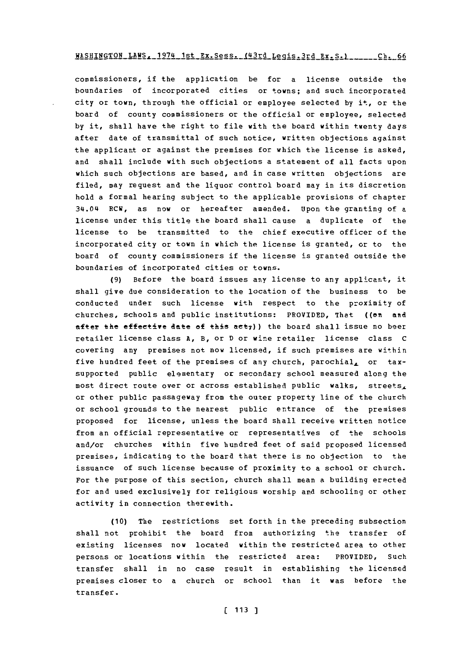### WASHINGTON LAWS. 1974 1st Ex. Sess. (43rd Legis.3rd Ex. S.) \_\_\_\_\_\_ Ch. 66

commissioners, if the application be for a license outside the boundaries of incorporated cities or towns; and such incorporated city or town, through the official or employee selected **by** it, or the board of county commissioners or the official or employee, selected **by** it, shall have the right to file with the board within twenty days after date of transmittal of such notice, written objections against the applicant or against the premises for which the license is asked, and shall include with such objections a statement of all facts upon which such objections are based, and in case written objections are filed, may request and the liquor control board may in its discretion hold a formal hearing subject to the applicable provisions of chapter 34.04 RCW, as now or hereafter amended. Upon the granting of a license under this title the board shall cause a duplicate of the license to be transmitted to the chief executive officer of the incorporated city or town in which the license is granted, or to the board of county commissioners if the license is granted outside the boundaries of incorporated cities or towns.

**(9)** Before the board issues any license to any applicant, it shall give due consideration to the location of the business to be conducted under such license with respect to the proximity of churches, schools and public institutions: PROVIDED, That ((en and after the effective date of this act<sub>7</sub>)) the board shall issue no beer retailer license class **A,** B, or **D** or wine retailer license class **C** covering any premises not now licensed, if such premises are within five hundred feet of the premises of any church, parochial, or taxsupported public elementary or secondary school measured along the most direct route over or across established public walks, streets, or other public passageway from the outer property line of the church or school grounds to the nearest public entrance of the premises proposed for license, unless the board shall receive written notice from an official representative or representatives of the schools and/or churches within five hundred feet of said proposed licensed premises, indicating to the board that there is no objection to the issuance of such license because of proximity to a school or church. For the purpose of this section, church shall mean a building erected for and used exclusively for religious worship and schooling or other activity in connection therewith.

**(10)** The restrictions set forth in the preceding subsection shall not prohibit the board from authorizing the transfer of existing licenses now located within the restricted area to other persons or locations within the restricted area: PROVIDED, Such transfer shall in no case result in establishing the licensed premises closer to a church or school than it was before the transfer.